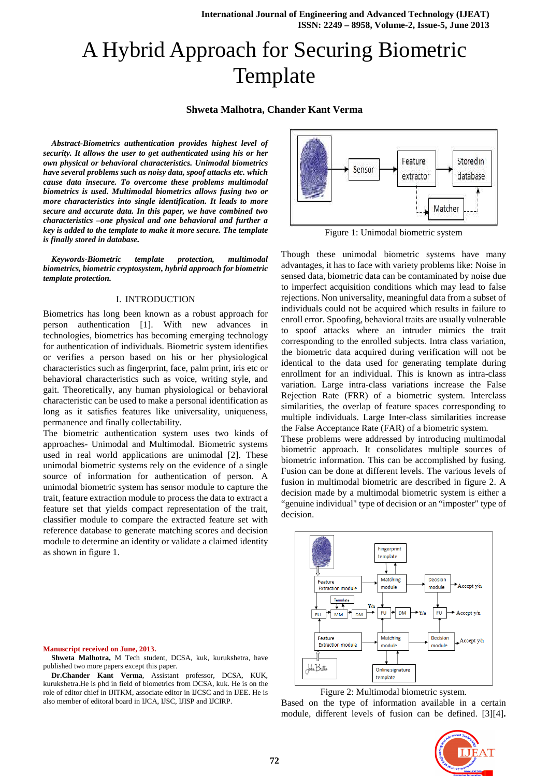# A Hybrid Approach for Securing Biometric Template

# **Shweta Malhotra, Chander Kant Verma**

*Abstract-Biometrics authentication provides highest level of security. It allows the user to get authenticated using his or her own physical or behavioral characteristics. Unimodal biometrics have several problems such as noisy data, spoof attacks etc. which cause data insecure. To overcome these problems multimodal biometrics is used. Multimodal biometrics allows fusing two or more characteristics into single identification. It leads to more secure and accurate data. In this paper, we have combined two characteristics –one physical and one behavioral and further a key is added to the template to make it more secure. The template is finally stored in database.* 

*Keywords-Biometric template protection, multimodal biometrics, biometric cryptosystem, hybrid approach for biometric template protection.* 

#### I. INTRODUCTION

Biometrics has long been known as a robust approach for person authentication [1]. With new advances in technologies, biometrics has becoming emerging technology for authentication of individuals. Biometric system identifies or verifies a person based on his or her physiological characteristics such as fingerprint, face, palm print, iris etc or behavioral characteristics such as voice, writing style, and gait. Theoretically, any human physiological or behavioral characteristic can be used to make a personal identification as long as it satisfies features like universality, uniqueness, permanence and finally collectability.

The biometric authentication system uses two kinds of approaches- Unimodal and Multimodal. Biometric systems used in real world applications are unimodal [2]. These unimodal biometric systems rely on the evidence of a single source of information for authentication of person. A unimodal biometric system has sensor module to capture the trait, feature extraction module to process the data to extract a feature set that yields compact representation of the trait, classifier module to compare the extracted feature set with reference database to generate matching scores and decision module to determine an identity or validate a claimed identity as shown in figure 1.



**Shweta Malhotra,** M Tech student, DCSA, kuk, kurukshetra, have published two more papers except this paper.

**Dr.Chander Kant Verma**, Assistant professor, DCSA, KUK, kurukshetra.He is phd in field of biometrics from DCSA, kuk. He is on the role of editor chief in IJITKM, associate editor in IJCSC and in IJEE. He is also member of editoral board in IJCA, IJSC, IJISP and IJCIRP.



Figure 1: Unimodal biometric system

Though these unimodal biometric systems have many advantages, it has to face with variety problems like: Noise in sensed data, biometric data can be contaminated by noise due to imperfect acquisition conditions which may lead to false rejections. Non universality, meaningful data from a subset of individuals could not be acquired which results in failure to enroll error. Spoofing, behavioral traits are usually vulnerable to spoof attacks where an intruder mimics the trait corresponding to the enrolled subjects. Intra class variation, the biometric data acquired during verification will not be identical to the data used for generating template during enrollment for an individual. This is known as intra-class variation. Large intra-class variations increase the False Rejection Rate (FRR) of a biometric system. Interclass similarities, the overlap of feature spaces corresponding to multiple individuals. Large Inter-class similarities increase the False Acceptance Rate (FAR) of a biometric system.

These problems were addressed by introducing multimodal biometric approach. It consolidates multiple sources of biometric information. This can be accomplished by fusing. Fusion can be done at different levels. The various levels of fusion in multimodal biometric are described in figure 2. A decision made by a multimodal biometric system is either a "genuine individual" type of decision or an "imposter" type of decision.



Figure 2: Multimodal biometric system.

Based on the type of information available in a certain module, different levels of fusion can be defined. [3][4]**.** 

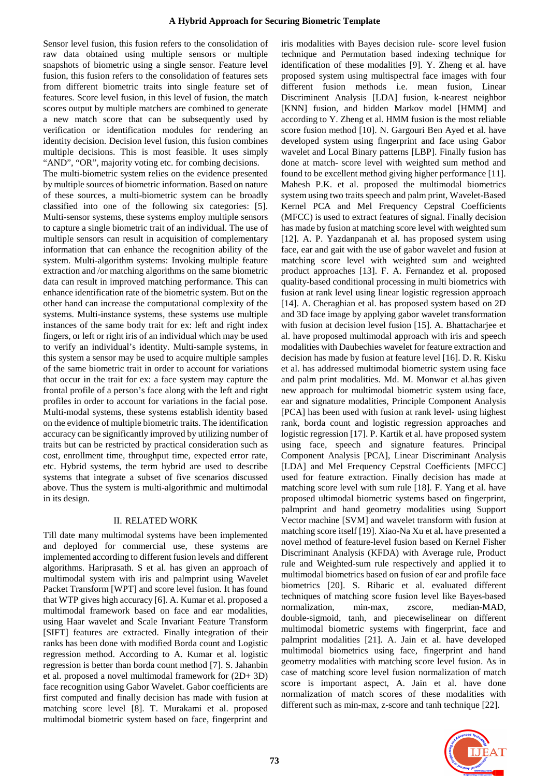Sensor level fusion, this fusion refers to the consolidation of raw data obtained using multiple sensors or multiple snapshots of biometric using a single sensor. Feature level fusion, this fusion refers to the consolidation of features sets from different biometric traits into single feature set of features. Score level fusion, in this level of fusion, the match scores output by multiple matchers are combined to generate a new match score that can be subsequently used by verification or identification modules for rendering an identity decision. Decision level fusion, this fusion combines multiple decisions. This is most feasible. It uses simply "AND", "OR", majority voting etc. for combing decisions.

The multi-biometric system relies on the evidence presented by multiple sources of biometric information. Based on nature of these sources, a multi-biometric system can be broadly classified into one of the following six categories: [5]. Multi-sensor systems, these systems employ multiple sensors to capture a single biometric trait of an individual. The use of multiple sensors can result in acquisition of complementary information that can enhance the recognition ability of the system. Multi-algorithm systems: Invoking multiple feature extraction and /or matching algorithms on the same biometric data can result in improved matching performance. This can enhance identification rate of the biometric system. But on the other hand can increase the computational complexity of the systems. Multi-instance systems, these systems use multiple instances of the same body trait for ex: left and right index fingers, or left or right iris of an individual which may be used to verify an individual's identity. Multi-sample systems, in this system a sensor may be used to acquire multiple samples of the same biometric trait in order to account for variations that occur in the trait for ex: a face system may capture the frontal profile of a person's face along with the left and right profiles in order to account for variations in the facial pose. Multi-modal systems, these systems establish identity based on the evidence of multiple biometric traits. The identification accuracy can be significantly improved by utilizing number of traits but can be restricted by practical consideration such as cost, enrollment time, throughput time, expected error rate, etc. Hybrid systems, the term hybrid are used to describe systems that integrate a subset of five scenarios discussed above. Thus the system is multi-algorithmic and multimodal in its design.

#### II. RELATED WORK

Till date many multimodal systems have been implemented and deployed for commercial use, these systems are implemented according to different fusion levels and different algorithms. Hariprasath. S et al. has given an approach of multimodal system with iris and palmprint using Wavelet Packet Transform [WPT] and score level fusion. It has found that WTP gives high accuracy [6]. A. Kumar et al. proposed a multimodal framework based on face and ear modalities, using Haar wavelet and Scale Invariant Feature Transform [SIFT] features are extracted. Finally integration of their ranks has been done with modified Borda count and Logistic regression method. According to A. Kumar et al. logistic regression is better than borda count method [7]. S. Jahanbin et al. proposed a novel multimodal framework for (2D+ 3D) face recognition using Gabor Wavelet. Gabor coefficients are first computed and finally decision has made with fusion at matching score level [8]. T. Murakami et al. proposed multimodal biometric system based on face, fingerprint and

iris modalities with Bayes decision rule- score level fusion technique and Permutation based indexing technique for identification of these modalities [9]. Y. Zheng et al. have proposed system using multispectral face images with four different fusion methods i.e. mean fusion, Linear Discriminent Analysis [LDA] fusion, k-nearest neighbor [KNN] fusion, and hidden Markov model [HMM] and according to Y. Zheng et al. HMM fusion is the most reliable score fusion method [10]. N. Gargouri Ben Ayed et al. have developed system using fingerprint and face using Gabor wavelet and Local Binary patterns [LBP]. Finally fusion has done at match- score level with weighted sum method and found to be excellent method giving higher performance [11]. Mahesh P.K. et al. proposed the multimodal biometrics system using two traits speech and palm print, Wavelet-Based Kernel PCA and Mel Frequency Cepstral Coefficients (MFCC) is used to extract features of signal. Finally decision has made by fusion at matching score level with weighted sum [12]. A. P. Yazdanpanah et al. has proposed system using face, ear and gait with the use of gabor wavelet and fusion at matching score level with weighted sum and weighted product approaches [13]. F. A. Fernandez et al. proposed quality-based conditional processing in multi biometrics with fusion at rank level using linear logistic regression approach [14]. A. Cheraghian et al. has proposed system based on 2D and 3D face image by applying gabor wavelet transformation with fusion at decision level fusion [15]. A. Bhattacharjee et al. have proposed multimodal approach with iris and speech modalities with Daubechies wavelet for feature extraction and decision has made by fusion at feature level [16]. D. R. Kisku et al. has addressed multimodal biometric system using face and palm print modalities. Md. M. Monwar et al.has given new approach for multimodal biometric system using face, ear and signature modalities, Principle Component Analysis [PCA] has been used with fusion at rank level- using highest rank, borda count and logistic regression approaches and logistic regression [17]. P. Kartik et al. have proposed system using face, speech and signature features. Principal Component Analysis [PCA], Linear Discriminant Analysis [LDA] and Mel Frequency Cepstral Coefficients [MFCC] used for feature extraction. Finally decision has made at matching score level with sum rule [18]. F. Yang et al. have proposed ultimodal biometric systems based on fingerprint, palmprint and hand geometry modalities using Support Vector machine [SVM] and wavelet transform with fusion at matching score itself [19]. Xiao-Na Xu et al**.** have presented a novel method of feature-level fusion based on Kernel Fisher Discriminant Analysis (KFDA) with Average rule, Product rule and Weighted-sum rule respectively and applied it to multimodal biometrics based on fusion of ear and profile face biometrics [20]. S. Ribaric et al. evaluated different techniques of matching score fusion level like Bayes-based normalization, min-max, zscore, median-MAD, double-sigmoid, tanh, and piecewiselinear on different multimodal biometric systems with fingerprint, face and palmprint modalities [21]. A. Jain et al. have developed multimodal biometrics using face, fingerprint and hand geometry modalities with matching score level fusion. As in case of matching score level fusion normalization of match score is important aspect, A. Jain et al. have done normalization of match scores of these modalities with different such as min-max, z-score and tanh technique [22].

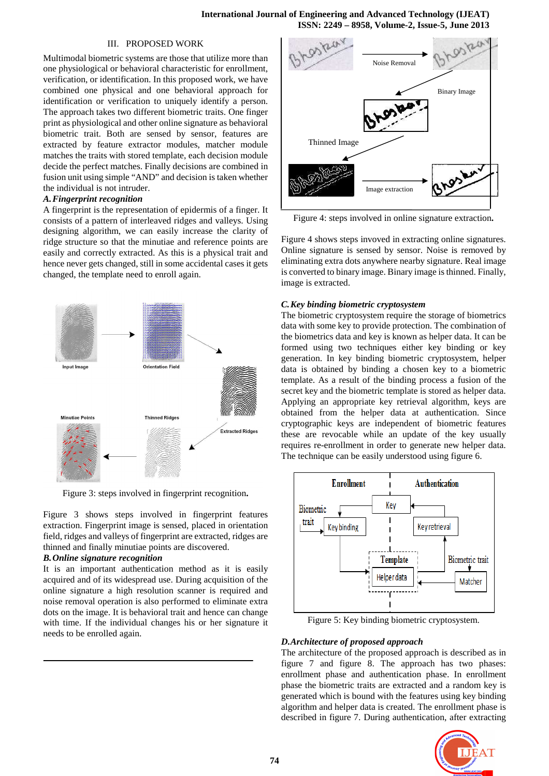## III. PROPOSED WORK

Multimodal biometric systems are those that utilize more than one physiological or behavioral characteristic for enrollment, verification, or identification. In this proposed work, we have combined one physical and one behavioral approach for identification or verification to uniquely identify a person. The approach takes two different biometric traits. One finger print as physiological and other online signature as behavioral biometric trait. Both are sensed by sensor, features are extracted by feature extractor modules, matcher module matches the traits with stored template, each decision module decide the perfect matches. Finally decisions are combined in fusion unit using simple "AND" and decision is taken whether the individual is not intruder.

#### *A.Fingerprint recognition*

A fingerprint is the representation of epidermis of a finger. It consists of a pattern of interleaved ridges and valleys. Using designing algorithm, we can easily increase the clarity of ridge structure so that the minutiae and reference points are easily and correctly extracted. As this is a physical trait and hence never gets changed, still in some accidental cases it gets changed, the template need to enroll again.



Figure 3: steps involved in fingerprint recognition**.** 

Figure 3 shows steps involved in fingerprint features extraction. Fingerprint image is sensed, placed in orientation field, ridges and valleys of fingerprint are extracted, ridges are thinned and finally minutiae points are discovered.

#### *B.Online signature recognition*

It is an important authentication method as it is easily acquired and of its widespread use. During acquisition of the online signature a high resolution scanner is required and noise removal operation is also performed to eliminate extra dots on the image. It is behavioral trait and hence can change with time. If the individual changes his or her signature it needs to be enrolled again.



Figure 4: steps involved in online signature extraction**.**

Figure 4 shows steps invoved in extracting online signatures. Online signature is sensed by sensor. Noise is removed by eliminating extra dots anywhere nearby signature. Real image is converted to binary image. Binary image is thinned. Finally, image is extracted.

## *C.Key binding biometric cryptosystem*

The biometric cryptosystem require the storage of biometrics data with some key to provide protection. The combination of the biometrics data and key is known as helper data. It can be formed using two techniques either key binding or key generation. In key binding biometric cryptosystem, helper data is obtained by binding a chosen key to a biometric template. As a result of the binding process a fusion of the secret key and the biometric template is stored as helper data. Applying an appropriate key retrieval algorithm, keys are obtained from the helper data at authentication. Since cryptographic keys are independent of biometric features these are revocable while an update of the key usually requires re-enrollment in order to generate new helper data. The technique can be easily understood using figure 6.



Figure 5: Key binding biometric cryptosystem.

# *D.Architecture of proposed approach*

The architecture of the proposed approach is described as in figure 7 and figure 8. The approach has two phases: enrollment phase and authentication phase. In enrollment phase the biometric traits are extracted and a random key is generated which is bound with the features using key binding algorithm and helper data is created. The enrollment phase is described in figure 7. During authentication, after extracting

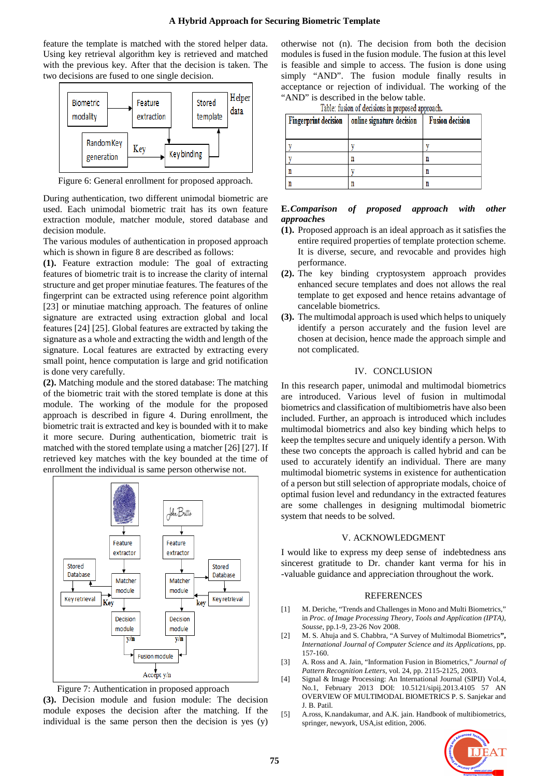feature the template is matched with the stored helper data. Using key retrieval algorithm key is retrieved and matched with the previous key. After that the decision is taken. The two decisions are fused to one single decision.



Figure 6: General enrollment for proposed approach.

During authentication, two different unimodal biometric are used. Each unimodal biometric trait has its own feature extraction module, matcher module, stored database and decision module.

The various modules of authentication in proposed approach which is shown in figure 8 are described as follows:

**(1).** Feature extraction module: The goal of extracting features of biometric trait is to increase the clarity of internal structure and get proper minutiae features. The features of the fingerprint can be extracted using reference point algorithm [23] or minutiae matching approach. The features of online signature are extracted using extraction global and local features [24] [25]. Global features are extracted by taking the signature as a whole and extracting the width and length of the signature. Local features are extracted by extracting every small point, hence computation is large and grid notification is done very carefully.

**(2).** Matching module and the stored database: The matching of the biometric trait with the stored template is done at this module. The working of the module for the proposed approach is described in figure 4. During enrollment, the biometric trait is extracted and key is bounded with it to make it more secure. During authentication, biometric trait is matched with the stored template using a matcher [26] [27]. If retrieved key matches with the key bounded at the time of enrollment the individual is same person otherwise not.





**(3).** Decision module and fusion module: The decision module exposes the decision after the matching. If the individual is the same person then the decision is yes (y)

otherwise not (n). The decision from both the decision modules is fused in the fusion module. The fusion at this level is feasible and simple to access. The fusion is done using simply "AND". The fusion module finally results in acceptance or rejection of individual. The working of the "AND" is described in the below table.

Table: fusion of decisions in proposed approach.

| <b>Fingerprint decision</b> | online signature decision | <b>Fusion decision</b> |
|-----------------------------|---------------------------|------------------------|
|                             |                           |                        |
|                             |                           | n                      |
|                             |                           | n                      |
|                             |                           | n                      |

#### **E.***Comparison of proposed approach with other approache***s**

- **(1).** Proposed approach is an ideal approach as it satisfies the entire required properties of template protection scheme. It is diverse, secure, and revocable and provides high performance.
- **(2).** The key binding cryptosystem approach provides enhanced secure templates and does not allows the real template to get exposed and hence retains advantage of cancelable biometrics.
- **(3).** The multimodal approach is used which helps to uniquely identify a person accurately and the fusion level are chosen at decision, hence made the approach simple and not complicated.

# IV. CONCLUSION

In this research paper, unimodal and multimodal biometrics are introduced. Various level of fusion in multimodal biometrics and classification of multibiometris have also been included. Further, an approach is introduced which includes multimodal biometrics and also key binding which helps to keep the templtes secure and uniquely identify a person. With these two concepts the approach is called hybrid and can be used to accurately identify an individual. There are many multimodal biometric systems in existence for authentication of a person but still selection of appropriate modals, choice of optimal fusion level and redundancy in the extracted features are some challenges in designing multimodal biometric system that needs to be solved.

#### V. ACKNOWLEDGMENT

I would like to express my deep sense of indebtedness ans sincerest gratitude to Dr. chander kant verma for his in -valuable guidance and appreciation throughout the work.

#### REFERENCES

- [1] M. Deriche, "Trends and Challenges in Mono and Multi Biometrics," in *Proc. of Image Processing Theory, Tools and Application (IPTA), Sousse*, pp.1-9, 23-26 Nov 2008.
- [2] M. S. Ahuja and S. Chabbra, "A Survey of Multimodal Biometrics**",**  *International Journal of Computer Science and its Applications*, pp. 157-160.
- [3] A. Ross and A. Jain, "Information Fusion in Biometrics," *Journal of Pattern Recognition Letters,* vol. 24, pp. 2115-2125, 2003.
- [4] Signal & Image Processing: An International Journal (SIPIJ) Vol.4, No.1, February 2013 DOI: 10.5121/sipij.2013.4105 57 AN OVERVIEW OF MULTIMODAL BIOMETRICS P. S. Sanjekar and J. B. Patil.
- [5] A.ross, K.nandakumar, and A.K. jain. Handbook of multibiometrics, springer, newyork, USA,ist edition, 2006.